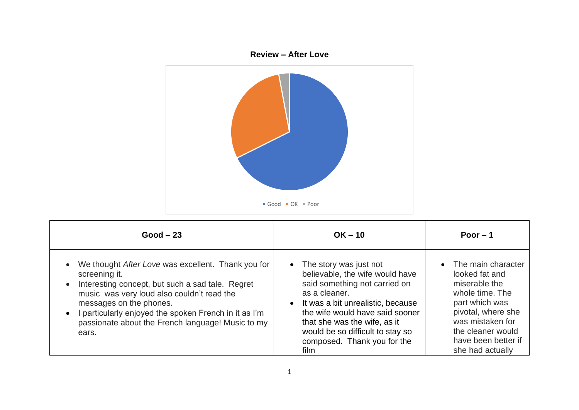

| $Good - 23$                                                                                                                                                                                                                                                                                                           | $OK - 10$                                                                                                                                                                                                                                                                                          | Poor $-1$                                                                                                                                                                                              |
|-----------------------------------------------------------------------------------------------------------------------------------------------------------------------------------------------------------------------------------------------------------------------------------------------------------------------|----------------------------------------------------------------------------------------------------------------------------------------------------------------------------------------------------------------------------------------------------------------------------------------------------|--------------------------------------------------------------------------------------------------------------------------------------------------------------------------------------------------------|
| We thought After Love was excellent. Thank you for<br>screening it.<br>Interesting concept, but such a sad tale. Regret<br>music was very loud also couldn't read the<br>messages on the phones.<br>particularly enjoyed the spoken French in it as I'm<br>passionate about the French language! Music to my<br>ears. | • The story was just not<br>believable, the wife would have<br>said something not carried on<br>as a cleaner.<br>• It was a bit unrealistic, because<br>the wife would have said sooner<br>that she was the wife, as it<br>would be so difficult to stay so<br>composed. Thank you for the<br>film | • The main character<br>looked fat and<br>miserable the<br>whole time. The<br>part which was<br>pivotal, where she<br>was mistaken for<br>the cleaner would<br>have been better if<br>she had actually |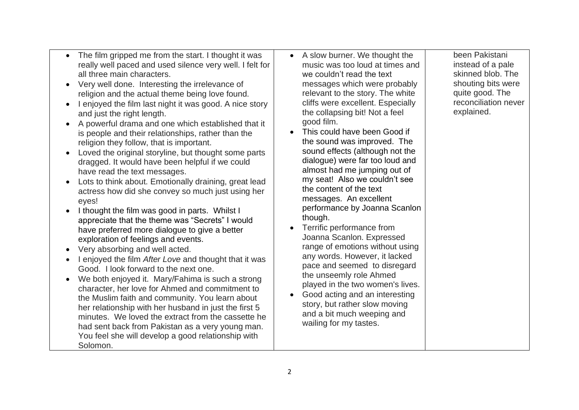- The film gripped me from the start. I thought it was really well paced and used silence very well. I felt for all three main characters.
- Very well done. Interesting the irrelevance of religion and the actual theme being love found.
- I enjoyed the film last night it was good. A nice story and just the right length.
- A powerful drama and one which established that it is people and their relationships, rather than the religion they follow, that is important.
- Loved the original storyline, but thought some parts dragged. It would have been helpful if we could have read the text messages.
- Lots to think about. Emotionally draining, great lead actress how did she convey so much just using her eyes!
- I thought the film was good in parts. Whilst I appreciate that the theme was "Secrets" I would have preferred more dialogue to give a better exploration of feelings and events.
- Very absorbing and well acted.
- I enjoyed the film *After Love* and thought that it was Good. I look forward to the next one.
- We both enjoyed it. Mary/Fahima is such a strong character, her love for Ahmed and commitment to the Muslim faith and community. You learn about her relationship with her husband in just the first 5 minutes. We loved the extract from the cassette he had sent back from Pakistan as a very young man. You feel she will develop a good relationship with Solomon.
- A slow burner. We thought the music was too loud at times and we couldn't read the text messages which were probably relevant to the story. The white cliffs were excellent. Especially the collapsing bit! Not a feel good film.
- This could have been Good if the sound was improved. The sound effects (although not the dialogue) were far too loud and almost had me jumping out of my seat! Also we couldn't see the content of the text messages. An excellent performance by Joanna Scanlon though.
- Terrific performance from Joanna Scanlon. Expressed range of emotions without using any words. However, it lacked pace and seemed to disregard the unseemly role Ahmed played in the two women's lives.
- Good acting and an interesting story, but rather slow moving and a bit much weeping and wailing for my tastes.

been Pakistani instead of a pale skinned blob. The shouting bits were quite good. The reconciliation never explained.